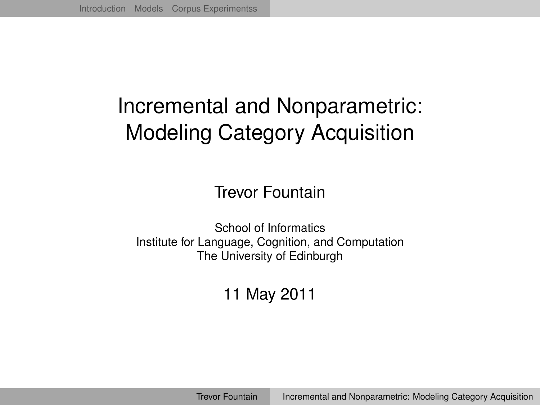# Incremental and Nonparametric: Modeling Category Acquisition

Trevor Fountain

School of Informatics Institute for Language, Cognition, and Computation The University of Edinburgh

<span id="page-0-0"></span>11 May 2011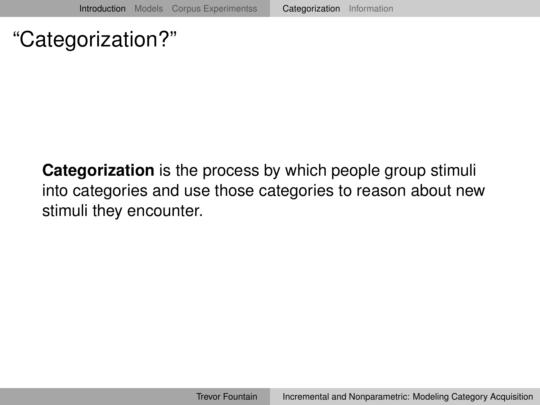## "Categorization?"

<span id="page-1-0"></span>**Categorization** is the process by which people group stimuli into categories and use those categories to reason about new stimuli they encounter.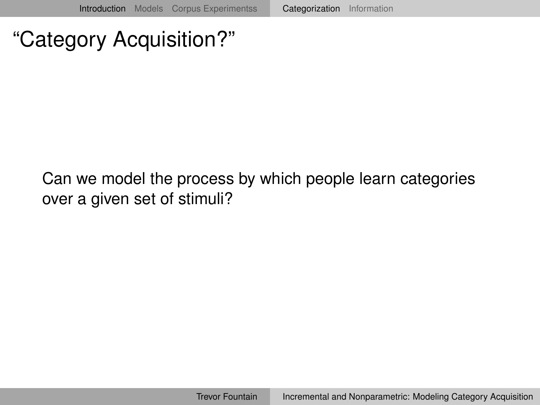## "Category Acquisition?"

#### Can we model the process by which people learn categories over a given set of stimuli?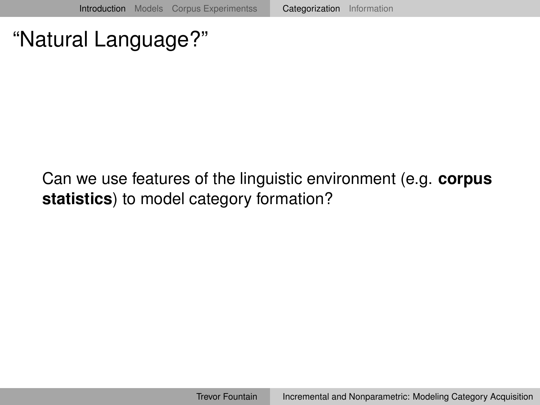"Natural Language?"

Can we use features of the linguistic environment (e.g. **corpus statistics**) to model category formation?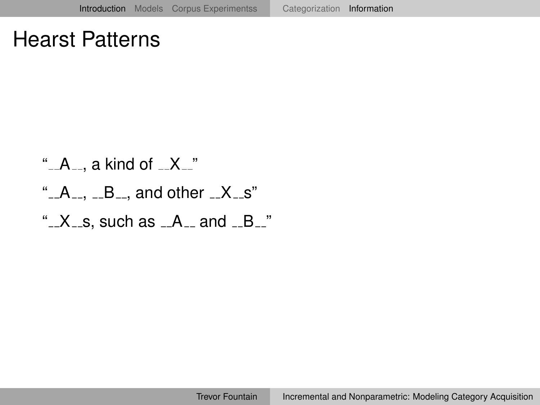### Hearst Patterns

<span id="page-4-0"></span>" A , a kind of X " " A , B , and other X s" " X s, such as A and B "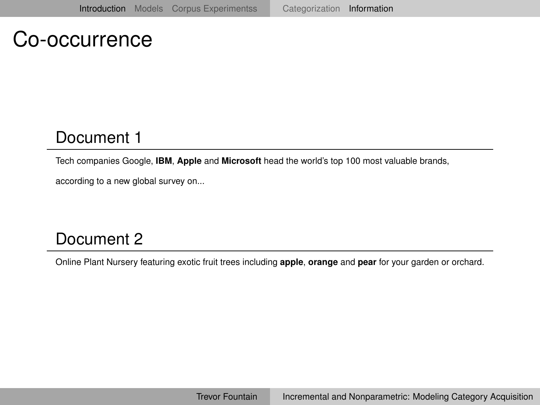#### Co-occurrence

#### Document 1

Tech companies Google, **IBM**, **Apple** and **Microsoft** head the world's top 100 most valuable brands,

according to a new global survey on...

#### Document 2

Online Plant Nursery featuring exotic fruit trees including **apple**, **orange** and **pear** for your garden or orchard.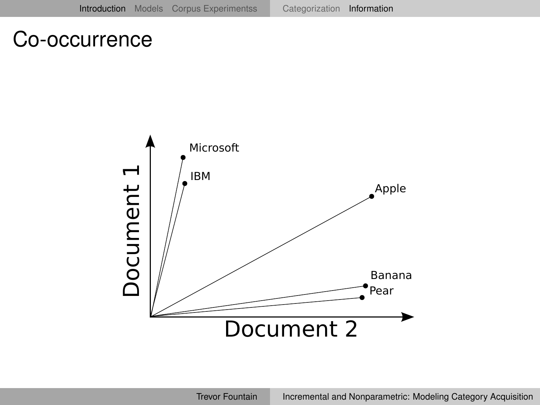### Co-occurrence

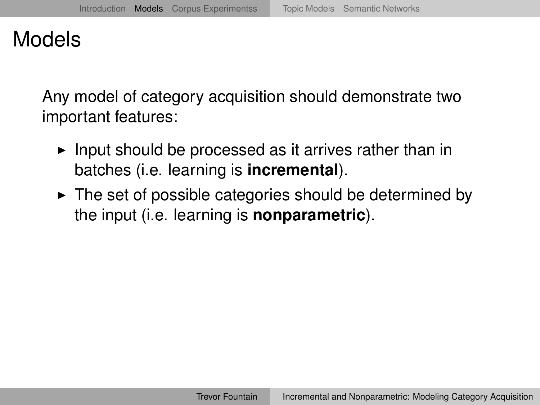Any model of category acquisition should demonstrate two important features:

- $\blacktriangleright$  Input should be processed as it arrives rather than in batches (i.e. learning is **incremental**).
- <span id="page-7-0"></span> $\triangleright$  The set of possible categories should be determined by the input (i.e. learning is **nonparametric**).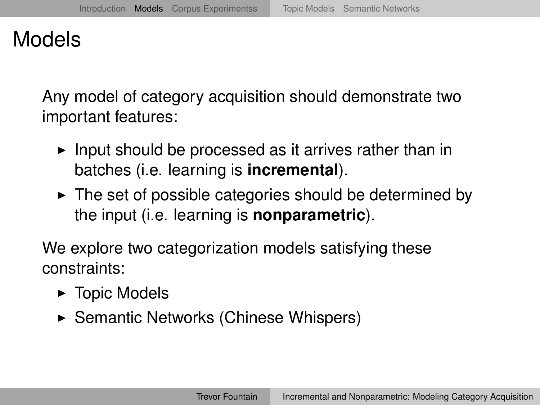Any model of category acquisition should demonstrate two important features:

- Input should be processed as it arrives rather than in batches (i.e. learning is **incremental**).
- $\triangleright$  The set of possible categories should be determined by the input (i.e. learning is **nonparametric**).

We explore two categorization models satisfying these constraints:

- $\blacktriangleright$  Topic Models
- $\triangleright$  Semantic Networks (Chinese Whispers)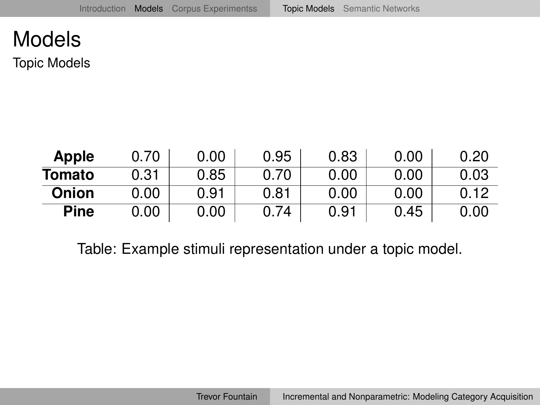Topic Models

| Apple         | 0.70 | 0.00 | 0.95 | 0.83 | 0.00 | 0.20 |
|---------------|------|------|------|------|------|------|
| <b>Tomato</b> | 0.31 | 0.85 | 0.70 | 0.00 | 0.00 | 0.03 |
| Onion         | 0.00 | 0.91 | 0.81 | 0.00 | 0.00 | 0.12 |
| Pine          | 0.00 | 0.00 | 0.74 | 0.91 | 0.45 | 0.00 |

<span id="page-9-0"></span>Table: Example stimuli representation under a topic model.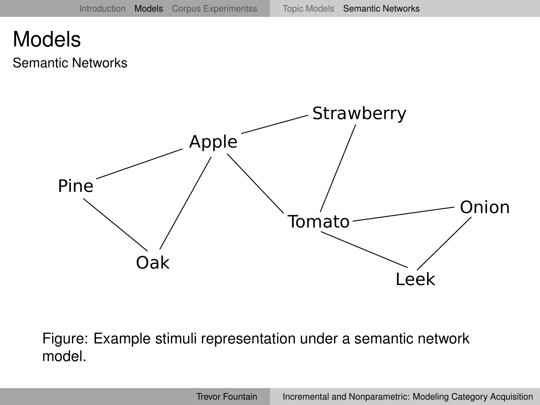Semantic Networks



<span id="page-10-0"></span>Figure: Example stimuli representation under a semantic network model.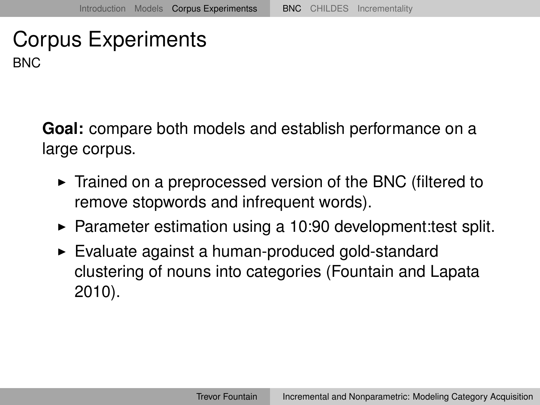**Goal:** compare both models and establish performance on a large corpus.

- $\triangleright$  Trained on a preprocessed version of the BNC (filtered to remove stopwords and infrequent words).
- $\blacktriangleright$  Parameter estimation using a 10:90 development: test split.
- <span id="page-11-0"></span> $\triangleright$  Evaluate against a human-produced gold-standard clustering of nouns into categories (Fountain and Lapata 2010).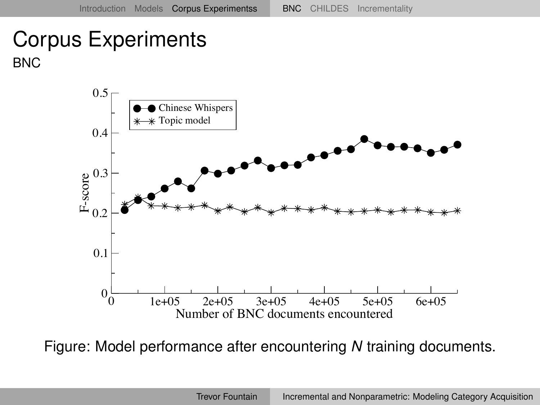

Figure: Model performance after encountering *N* training documents.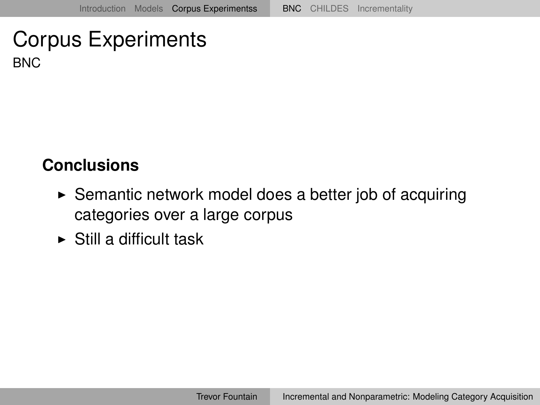#### **Conclusions**

- $\triangleright$  Semantic network model does a better job of acquiring categories over a large corpus
- $\triangleright$  Still a difficult task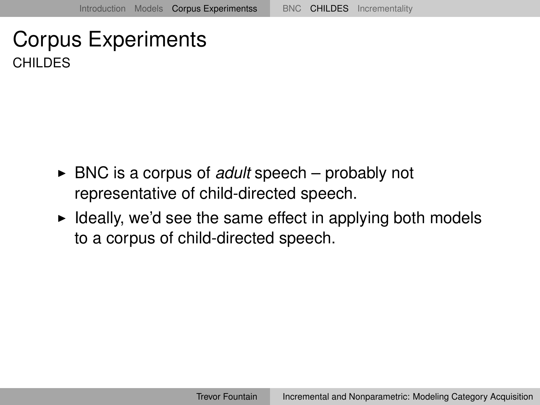- ► BNC is a corpus of *adult* speech probably not representative of child-directed speech.
- <span id="page-14-0"></span> $\blacktriangleright$  Ideally, we'd see the same effect in applying both models to a corpus of child-directed speech.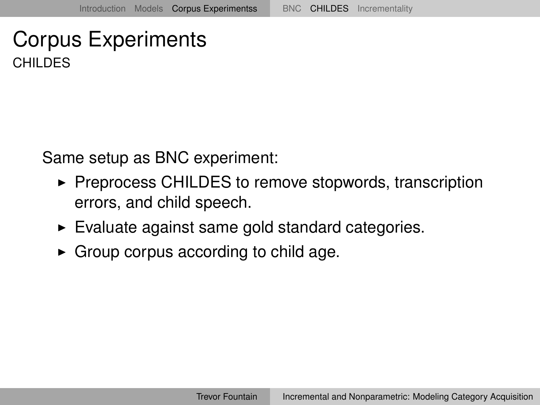Same setup as BNC experiment:

- $\triangleright$  Preprocess CHILDES to remove stopwords, transcription errors, and child speech.
- $\blacktriangleright$  Evaluate against same gold standard categories.
- $\triangleright$  Group corpus according to child age.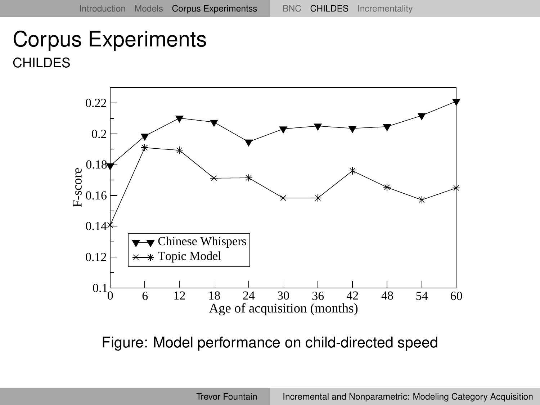

Figure: Model performance on child-directed speed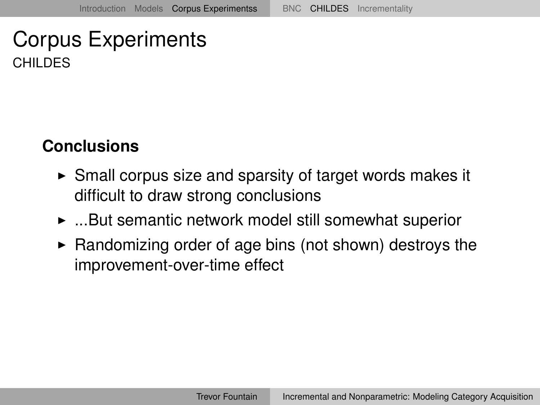#### **Conclusions**

- $\triangleright$  Small corpus size and sparsity of target words makes it difficult to draw strong conclusions
- $\blacktriangleright$  ...But semantic network model still somewhat superior
- $\blacktriangleright$  Randomizing order of age bins (not shown) destroys the improvement-over-time effect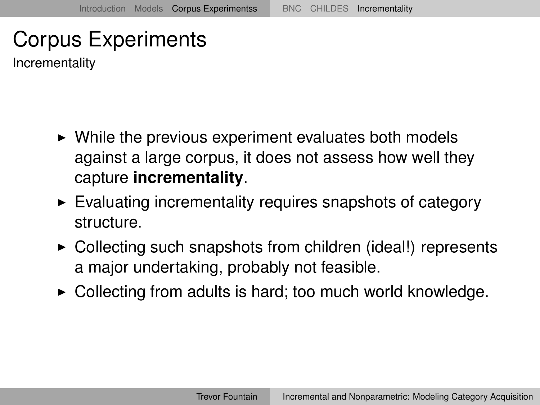Incrementality

- $\triangleright$  While the previous experiment evaluates both models against a large corpus, it does not assess how well they capture **incrementality**.
- $\triangleright$  Evaluating incrementality requires snapshots of category structure.
- $\triangleright$  Collecting such snapshots from children (ideal!) represents a major undertaking, probably not feasible.
- <span id="page-18-0"></span> $\triangleright$  Collecting from adults is hard; too much world knowledge.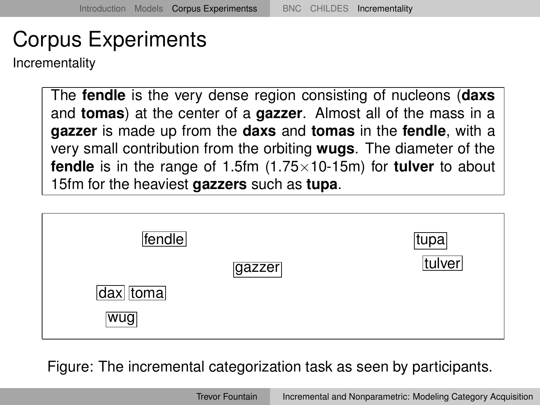Incrementality

The **fendle** is the very dense region consisting of nucleons (**daxs** and **tomas**) at the center of a **gazzer**. Almost all of the mass in a **gazzer** is made up from the **daxs** and **tomas** in the **fendle**, with a very small contribution from the orbiting **wugs**. The diameter of the **fendle** is in the range of 1.5fm (1.75×10-15m) for **tulver** to about 15fm for the heaviest **gazzers** such as **tupa**.



Figure: The incremental categorization task as seen by participants.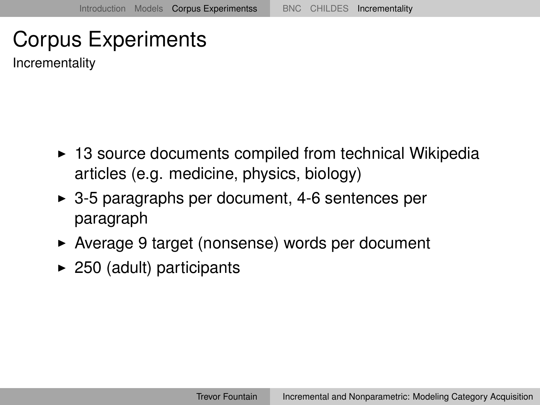Incrementality

- $\triangleright$  13 source documents compiled from technical Wikipedia articles (e.g. medicine, physics, biology)
- $\triangleright$  3-5 paragraphs per document, 4-6 sentences per paragraph
- ► Average 9 target (nonsense) words per document
- $\blacktriangleright$  250 (adult) participants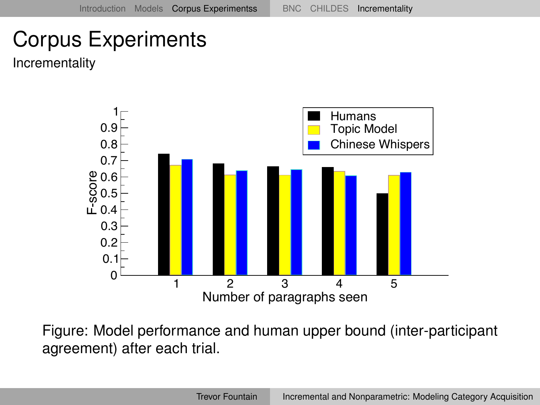Incrementality



Figure: Model performance and human upper bound (inter-participant agreement) after each trial.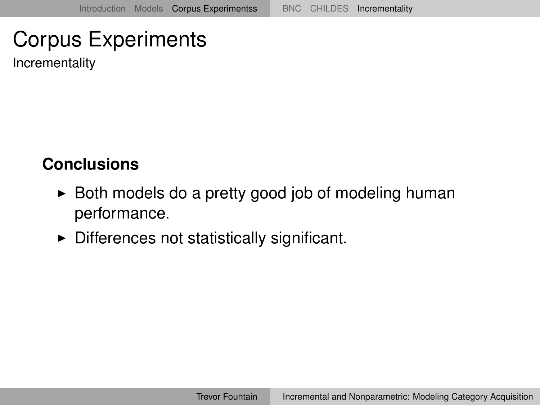Incrementality

#### **Conclusions**

- $\triangleright$  Both models do a pretty good job of modeling human performance.
- $\triangleright$  Differences not statistically significant.